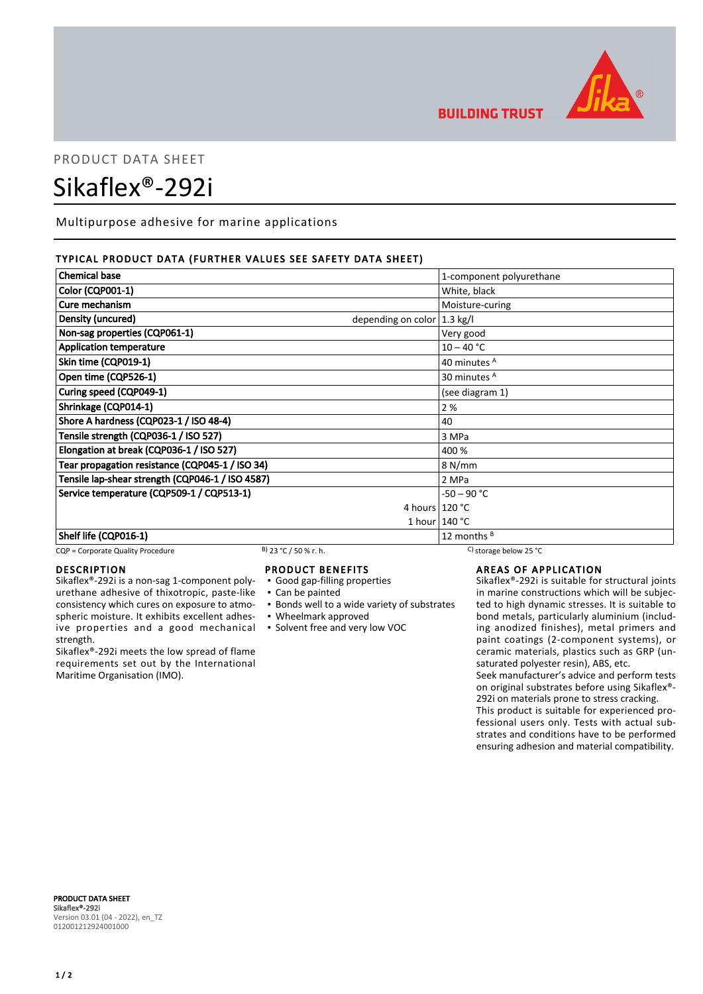

## **BUILDING TRUST**

# PRODUCT DATA SHEET Sikaflex®-292i

Multipurpose adhesive for marine applications

#### TYPICAL PRODUCT DATA (FURTHER VALUES SEE SAFETY DATA SHEET)

| <b>Chemical base</b>                                        | 1-component polyurethane |
|-------------------------------------------------------------|--------------------------|
| <b>Color (CQP001-1)</b>                                     | White, black             |
| Cure mechanism                                              | Moisture-curing          |
| Density (uncured)<br>depending on color $ 1.3 \text{ kg}/I$ |                          |
| Non-sag properties (CQP061-1)                               | Very good                |
| <b>Application temperature</b>                              | $10 - 40 °C$             |
| Skin time (CQP019-1)                                        | 40 minutes A             |
| Open time (CQP526-1)                                        | 30 minutes <sup>A</sup>  |
| Curing speed (CQP049-1)                                     | (see diagram 1)          |
| Shrinkage (CQP014-1)                                        | 2%                       |
| Shore A hardness (CQP023-1 / ISO 48-4)                      | 40                       |
| Tensile strength (CQP036-1 / ISO 527)                       | 3 MPa                    |
| Elongation at break (CQP036-1 / ISO 527)                    | 400 %                    |
| Tear propagation resistance (CQP045-1 / ISO 34)             | 8 N/mm                   |
| Tensile lap-shear strength (CQP046-1 / ISO 4587)            | 2 MPa                    |
| Service temperature (CQP509-1 / CQP513-1)                   | $-50 - 90 °C$            |
|                                                             | 4 hours $120 °C$         |
|                                                             | 1 hour $140 °C$          |
| Shelf life (CQP016-1)                                       | 12 months $B$            |

#### CQP = Corporate Quality Procedure B) 23 °C / 50 % r. h. C) storage below 25 °C

#### DESCRIPTION

Sikaflex®-292i is a non-sag 1-component polyurethane adhesive of thixotropic, paste-like consistency which cures on exposure to atmospheric moisture. It exhibits excellent adhesive properties and a good mechanical strength.

Sikaflex®-292i meets the low spread of flame requirements set out by the International Maritime Organisation (IMO).

#### PRODUCT BENEFITS

▪ Good gap-filling properties

- Can be painted
- **Bonds well to a wide variety of substrates**
- Wheelmark approved
- Solvent free and very low VOC

AREAS OF APPLICATION

Sikaflex®-292i is suitable for structural joints in marine constructions which will be subjected to high dynamic stresses. It is suitable to bond metals, particularly aluminium (including anodized finishes), metal primers and paint coatings (2-component systems), or ceramic materials, plastics such as GRP (unsaturated polyester resin), ABS, etc.

Seek manufacturer's advice and perform tests on original substrates before using Sikaflex®- 292i on materials prone to stress cracking.

This product is suitable for experienced professional users only. Tests with actual substrates and conditions have to be performed ensuring adhesion and material compatibility.